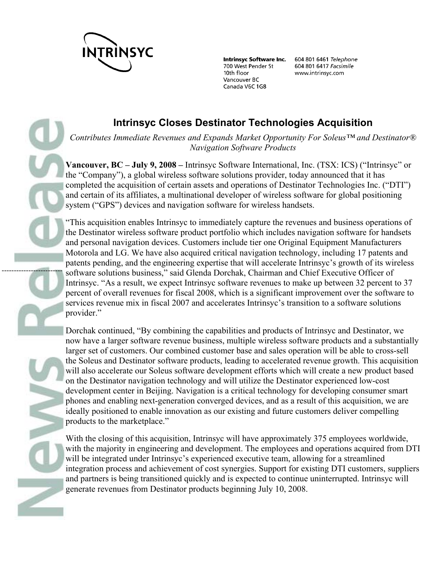

-------------------------

Intrinsyc Software Inc. 700 West Pender St 10th floor Vancouver BC Canada V6C 1G8

604 801 6461 Telephone 604 801 6417 Facsimile www.intrinsyc.com

# **Intrinsyc Closes Destinator Technologies Acquisition**

*Contributes Immediate Revenues and Expands Market Opportunity For Soleus™ and Destinator® Navigation Software Products*

**Vancouver, BC – July 9, 2008 –** Intrinsyc Software International, Inc. (TSX: ICS) ("Intrinsyc" or the "Company"), a global wireless software solutions provider, today announced that it has completed the acquisition of certain assets and operations of Destinator Technologies Inc. ("DTI") and certain of its affiliates, a multinational developer of wireless software for global positioning system ("GPS") devices and navigation software for wireless handsets.

"This acquisition enables Intrinsyc to immediately capture the revenues and business operations of the Destinator wireless software product portfolio which includes navigation software for handsets and personal navigation devices. Customers include tier one Original Equipment Manufacturers Motorola and LG. We have also acquired critical navigation technology, including 17 patents and patents pending, and the engineering expertise that will accelerate Intrinsyc's growth of its wireless software solutions business," said Glenda Dorchak, Chairman and Chief Executive Officer of Intrinsyc. "As a result, we expect Intrinsyc software revenues to make up between 32 percent to 37 percent of overall revenues for fiscal 2008, which is a significant improvement over the software to services revenue mix in fiscal 2007 and accelerates Intrinsyc's transition to a software solutions provider."

Dorchak continued, "By combining the capabilities and products of Intrinsyc and Destinator, we now have a larger software revenue business, multiple wireless software products and a substantially larger set of customers. Our combined customer base and sales operation will be able to cross-sell the Soleus and Destinator software products, leading to accelerated revenue growth. This acquisition will also accelerate our Soleus software development efforts which will create a new product based on the Destinator navigation technology and will utilize the Destinator experienced low-cost development center in Beijing. Navigation is a critical technology for developing consumer smart phones and enabling next-generation converged devices, and as a result of this acquisition, we are ideally positioned to enable innovation as our existing and future customers deliver compelling products to the marketplace."

With the closing of this acquisition, Intrinsyc will have approximately 375 employees worldwide, with the majority in engineering and development. The employees and operations acquired from DTI will be integrated under Intrinsyc's experienced executive team, allowing for a streamlined integration process and achievement of cost synergies. Support for existing DTI customers, suppliers and partners is being transitioned quickly and is expected to continue uninterrupted. Intrinsyc will generate revenues from Destinator products beginning July 10, 2008.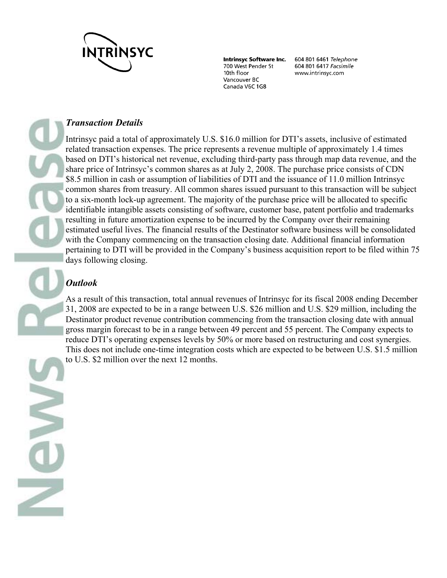

Intrinsyc Software Inc. 700 West Pender St 10th floor Vancouver BC Canada V6C 1G8

604 801 6461 Telephone 604 801 6417 Facsimile www.intrinsyc.com

### *Transaction Details*

Intrinsyc paid a total of approximately U.S. \$16.0 million for DTI's assets, inclusive of estimated related transaction expenses. The price represents a revenue multiple of approximately 1.4 times based on DTI's historical net revenue, excluding third-party pass through map data revenue, and the share price of Intrinsyc's common shares as at July 2, 2008. The purchase price consists of CDN \$8.5 million in cash or assumption of liabilities of DTI and the issuance of 11.0 million Intrinsyc common shares from treasury. All common shares issued pursuant to this transaction will be subject to a six-month lock-up agreement. The majority of the purchase price will be allocated to specific identifiable intangible assets consisting of software, customer base, patent portfolio and trademarks resulting in future amortization expense to be incurred by the Company over their remaining estimated useful lives. The financial results of the Destinator software business will be consolidated with the Company commencing on the transaction closing date. Additional financial information pertaining to DTI will be provided in the Company's business acquisition report to be filed within 75 days following closing.

## *Outlook*

As a result of this transaction, total annual revenues of Intrinsyc for its fiscal 2008 ending December 31, 2008 are expected to be in a range between U.S. \$26 million and U.S. \$29 million, including the Destinator product revenue contribution commencing from the transaction closing date with annual gross margin forecast to be in a range between 49 percent and 55 percent. The Company expects to reduce DTI's operating expenses levels by 50% or more based on restructuring and cost synergies. This does not include one-time integration costs which are expected to be between U.S. \$1.5 million to U.S. \$2 million over the next 12 months.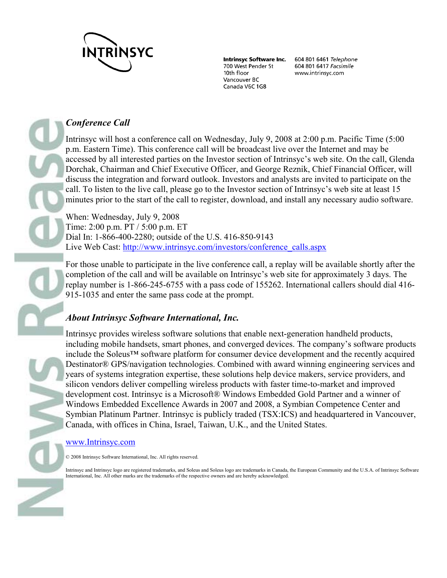

**Intrinsyc Software Inc.** 700 West Pender St 10th floor Vancouver BC Canada V6C 1G8

604 801 6461 Telephone 604 801 6417 Facsimile www.intrinsyc.com

## *Conference Call*

Intrinsyc will host a conference call on Wednesday, July 9, 2008 at 2:00 p.m. Pacific Time (5:00 p.m. Eastern Time). This conference call will be broadcast live over the Internet and may be accessed by all interested parties on the Investor section of Intrinsyc's web site. On the call, Glenda Dorchak, Chairman and Chief Executive Officer, and George Reznik, Chief Financial Officer, will discuss the integration and forward outlook. Investors and analysts are invited to participate on the call. To listen to the live call, please go to the Investor section of Intrinsyc's web site at least 15 minutes prior to the start of the call to register, download, and install any necessary audio software.

When: Wednesday, July 9, 2008 Time: 2:00 p.m. PT / 5:00 p.m. ET Dial In: 1-866-400-2280; outside of the U.S. 416-850-9143 Live Web Cast: http://www.intrinsyc.com/investors/conference\_calls.aspx

For those unable to participate in the live conference call, a replay will be available shortly after the completion of the call and will be available on Intrinsyc's web site for approximately 3 days. The replay number is 1-866-245-6755 with a pass code of 155262. International callers should dial 416- 915-1035 and enter the same pass code at the prompt.

## *About Intrinsyc Software International, Inc.*

Intrinsyc provides wireless software solutions that enable next-generation handheld products, including mobile handsets, smart phones, and converged devices. The company's software products include the Soleus™ software platform for consumer device development and the recently acquired Destinator® GPS/navigation technologies. Combined with award winning engineering services and years of systems integration expertise, these solutions help device makers, service providers, and silicon vendors deliver compelling wireless products with faster time-to-market and improved development cost. Intrinsyc is a Microsoft® Windows Embedded Gold Partner and a winner of Windows Embedded Excellence Awards in 2007 and 2008, a Symbian Competence Center and Symbian Platinum Partner. Intrinsyc is publicly traded (TSX:ICS) and headquartered in Vancouver, Canada, with offices in China, Israel, Taiwan, U.K., and the United States.

#### www.Intrinsyc.com

© 2008 Intrinsyc Software International, Inc. All rights reserved.

Intrinsyc and Intrinsyc logo are registered trademarks, and Soleus and Soleus logo are trademarks in Canada, the European Community and the U.S.A. of Intrinsyc Software International, Inc. All other marks are the trademarks of the respective owners and are hereby acknowledged.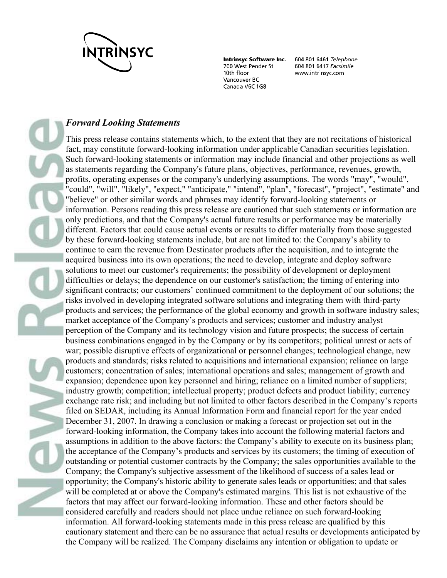

**Intrinsyc Software Inc.** 700 West Pender St 10th floor Vancouver BC Canada V6C 1G8

604 801 6461 Telephone 604 801 6417 Facsimile www.intrinsyc.com

#### *Forward Looking Statements*

This press release contains statements which, to the extent that they are not recitations of historical fact, may constitute forward-looking information under applicable Canadian securities legislation. Such forward-looking statements or information may include financial and other projections as well as statements regarding the Company's future plans, objectives, performance, revenues, growth, profits, operating expenses or the company's underlying assumptions. The words "may", "would", "could", "will", "likely", "expect," "anticipate," "intend", "plan", "forecast", "project", "estimate" and "believe" or other similar words and phrases may identify forward-looking statements or information. Persons reading this press release are cautioned that such statements or information are only predictions, and that the Company's actual future results or performance may be materially different. Factors that could cause actual events or results to differ materially from those suggested by these forward-looking statements include, but are not limited to: the Company's ability to continue to earn the revenue from Destinator products after the acquisition, and to integrate the acquired business into its own operations; the need to develop, integrate and deploy software solutions to meet our customer's requirements; the possibility of development or deployment difficulties or delays; the dependence on our customer's satisfaction; the timing of entering into significant contracts; our customers' continued commitment to the deployment of our solutions; the risks involved in developing integrated software solutions and integrating them with third-party products and services; the performance of the global economy and growth in software industry sales; market acceptance of the Company's products and services; customer and industry analyst perception of the Company and its technology vision and future prospects; the success of certain business combinations engaged in by the Company or by its competitors; political unrest or acts of war; possible disruptive effects of organizational or personnel changes; technological change, new products and standards; risks related to acquisitions and international expansion; reliance on large customers; concentration of sales; international operations and sales; management of growth and expansion; dependence upon key personnel and hiring; reliance on a limited number of suppliers; industry growth; competition; intellectual property; product defects and product liability; currency exchange rate risk; and including but not limited to other factors described in the Company's reports filed on SEDAR, including its Annual Information Form and financial report for the year ended December 31, 2007. In drawing a conclusion or making a forecast or projection set out in the forward-looking information, the Company takes into account the following material factors and assumptions in addition to the above factors: the Company's ability to execute on its business plan; the acceptance of the Company's products and services by its customers; the timing of execution of outstanding or potential customer contracts by the Company; the sales opportunities available to the Company; the Company's subjective assessment of the likelihood of success of a sales lead or opportunity; the Company's historic ability to generate sales leads or opportunities; and that sales will be completed at or above the Company's estimated margins. This list is not exhaustive of the factors that may affect our forward-looking information. These and other factors should be considered carefully and readers should not place undue reliance on such forward-looking information. All forward-looking statements made in this press release are qualified by this cautionary statement and there can be no assurance that actual results or developments anticipated by the Company will be realized. The Company disclaims any intention or obligation to update or